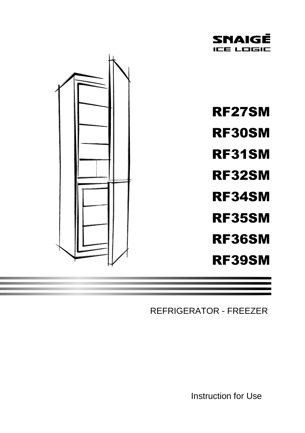



REFRIGERATOR - FREEZER

Instruction for Use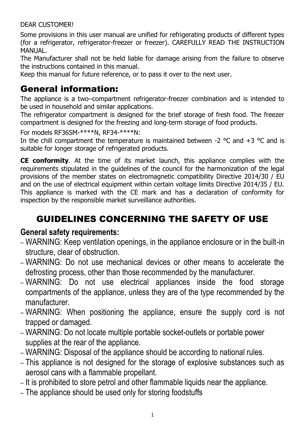### DEAR CUSTOMER!

Some provisions in this user manual are unified for refrigerating products of different types (for a refrigerator, refrigerator-freezer or freezer). CAREFULLY READ THE INSTRUCTION MANUAL.

The Manufacturer shall not be held liable for damage arising from the failure to observe the instructions contained in this manual.

Keep this manual for future reference, or to pass it over to the next user.

# General information:

The appliance is a two–compartment refrigerator-freezer combination and is intended to be used in household and similar applications.

The refrigerator compartment is designed for the brief storage of fresh food. The freezer compartment is designed for the freezing and long-term storage of food products.

For models RF36SM-\*\*\*\*N, RF34-\*\*\*\*N:

In the chill compartment the temperature is maintained between -2  $\degree$ C and +3  $\degree$ C and is suitable for longer storage of refrigerated products.

**CE conformity**. At the time of its market launch, this appliance complies with the requirements stipulated in the guidelines of the council for the harmonization of the legal provisions of the member states on electromagnetic compatibility Directive 2014/30 / EU and on the use of electrical equipment within certain voltage limits Directive 2014/35 / EU. This appliance is marked with the CE mark and has a declaration of conformity for inspection by the responsible market surveillance authorities.

# GUIDELINES CONCERNING THE SAFETY OF USE

### **General safety requirements:**

- WARNING: Keep ventilation openings, in the appliance enclosure or in the built-in structure, clear of obstruction.
- WARNING: Do not use mechanical devices or other means to accelerate the defrosting process, other than those recommended by the manufacturer.
- WARNING: Do not use electrical appliances inside the food storage compartments of the appliance, unless they are of the type recommended by the manufacturer.
- WARNING: When positioning the appliance, ensure the supply cord is not trapped or damaged.
- WARNING: Do not locate multiple portable socket-outlets or portable power supplies at the rear of the appliance.
- WARNING: Disposal of the appliance should be according to national rules.
- This appliance is not designed for the storage of explosive substances such as aerosol cans with a flammable propellant.
- It is prohibited to store petrol and other flammable liquids near the appliance.
- The appliance should be used only for storing foodstuffs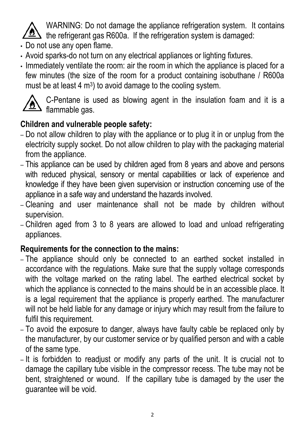

WARNING: Do not damage the appliance refrigeration system.It contains the refrigerant gas R600a. If the refrigeration system is damaged:

- Do not use any open flame.
- Avoid sparks-do not turn on any electrical appliances or lighting fixtures.
- Immediately ventilate the room: air the room in which the appliance is placed for a few minutes (the size of the room for a product containing isobuthane / R600a must be at least  $4 \text{ m}^3$ ) to avoid damage to the cooling system.



C-Pentane is used as blowing agent in the insulation foam and it is a  $\triangle$  flammable gas.

## **Children and vulnerable people safety:**

- Do not allow children to play with the appliance or to plug it in or unplug from the electricity supply socket. Do not allow children to play with the packaging material from the appliance.
- This appliance can be used by children aged from 8 years and above and persons with reduced physical, sensory or mental capabilities or lack of experience and knowledge if they have been given supervision or instruction concerning use of the appliance in a safe way and understand the hazards involved.
- Cleaning and user maintenance shall not be made by children without supervision.
- Children aged from 3 to 8 years are allowed to load and unload refrigerating appliances.

### **Requirements for the connection to the mains:**

- The appliance should only be connected to an earthed socket installed in accordance with the regulations. Make sure that the supply voltage corresponds with the voltage marked on the rating label. The earthed electrical socket by which the appliance is connected to the mains should be in an accessible place. It is a legal requirement that the appliance is properly earthed. The manufacturer will not be held liable for any damage or injury which may result from the failure to fulfil this requirement.
- To avoid the exposure to danger, always have faulty cable be replaced only by the manufacturer, by our customer service or by qualified person and with a cable of the same type.
- It is forbidden to readjust or modify any parts of the unit. It is crucial not to damage the capillary tube visible in the compressor recess. The tube may not be bent, straightened or wound. If the capillary tube is damaged by the user the guarantee will be void.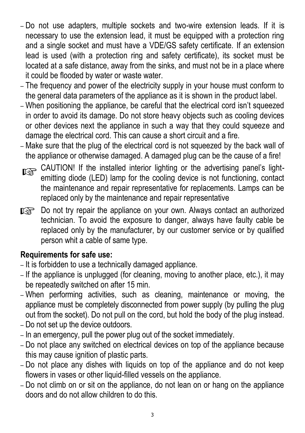- Do not use adapters, multiple sockets and two-wire extension leads. If it is necessary to use the extension lead, it must be equipped with a protection ring and a single socket and must have a VDE/GS safety certificate. If an extension lead is used (with a protection ring and safety certificate), its socket must be located at a safe distance, away from the sinks, and must not be in a place where it could be flooded by water or waste water.
- The frequency and power of the electricity supply in your house must conform to the general data parameters of the appliance as it is shown in the product label.
- When positioning the appliance, be careful that the electrical cord isn't squeezed in order to avoid its damage. Do not store heavy objects such as cooling devices or other devices next the appliance in such a way that they could squeeze and damage the electrical cord. This can cause a short circuit and a fire.
- Make sure that the plug of the electrical cord is not squeezed by the back wall of the appliance or otherwise damaged. A damaged plug can be the cause of a fire!
- CAUTION! If the installed interior lighting or the advertising panel's lightemitting diode (LED) lamp for the cooling device is not functioning, contact the maintenance and repair representative for replacements. Lamps can be replaced only by the maintenance and repair representative
- **Do not try repair the appliance on your own. Always contact an authorized** technician. To avoid the exposure to danger, always have faulty cable be replaced only by the manufacturer, by our customer service or by qualified person whit a cable of same type.

## **Requirements for safe use:**

- It is forbidden to use a technically damaged appliance.
- If the appliance is unplugged (for cleaning, moving to another place, etc.), it may be repeatedly switched on after 15 min.
- When performing activities, such as cleaning, maintenance or moving, the appliance must be completely disconnected from power supply (by pulling the plug out from the socket). Do not pull on the cord, but hold the body of the plug instead.
- Do not set up the device outdoors.
- In an emergency, pull the power plug out of the socket immediately.
- Do not place any switched on electrical devices on top of the appliance because this may cause ignition of plastic parts.
- Do not place any dishes with liquids on top of the appliance and do not keep flowers in vases or other liquid-filled vessels on the appliance.
- Do not climb on or sit on the appliance, do not lean on or hang on the appliance doors and do not allow children to do this.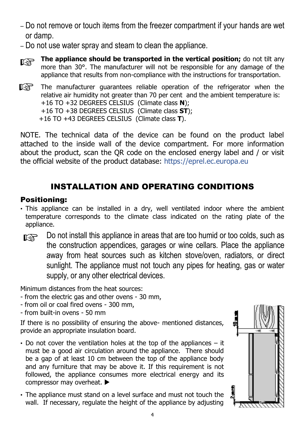- Do not remove or touch items from the freezer compartment if your hands are wet or damp.
- Do not use water spray and steam to clean the appliance.
- **The appliance should be transported in the vertical position;** do not tilt any more than 30°. The manufacturer will not be responsible for any damage of the appliance that results from non-compliance with the instructions for transportation.
- IS. The manufacturer guarantees reliable operation of the refrigerator when the relative air humidity not greater than 70 per cent and the ambient temperature is: +16 TO +32 DEGREES CELSIUS (Climate class **N**); +16 TO +38 DEGREES CELSIUS (Climate class **ST**); +16 TO +43 DEGREES CELSIUS (Climate class **T**).

NOTE. The technical data of the device can be found on the product label attached to the inside wall of the device compartment. For more information about the product, scan the QR code on the enclosed energy label and / or visit the official website of the product database: https://eprel.ec.europa.eu

## INSTALLATION AND OPERATING CONDITIONS

### Positioning:

- This appliance can be installed in a dry, well ventilated indoor where the ambient temperature corresponds to the climate class indicated on the rating plate of the appliance.
- Do not install this appliance in areas that are too humid or too colds, such as LS. the construction appendices, garages or wine cellars. Place the appliance away from heat sources such as kitchen stove/oven, radiators, or direct sunlight. The appliance must not touch any pipes for heating, gas or water supply, or any other electrical devices.

Minimum distances from the heat sources:

- from the electric gas and other ovens 30 mm,
- from oil or coal fired ovens 300 mm,
- from built-in ovens 50 mm

If there is no possibility of ensuring the above- mentioned distances, provide an appropriate insulation board.

- Do not cover the ventilation holes at the top of the appliances it must be a good air circulation around the appliance. There should be a gap of at least 10 cm between the top of the appliance body and any furniture that may be above it. If this requirement is not followed, the appliance consumes more electrical energy and its compressor may overheat.
- The appliance must stand on a level surface and must not touch the wall. If necessary, regulate the height of the appliance by adjusting

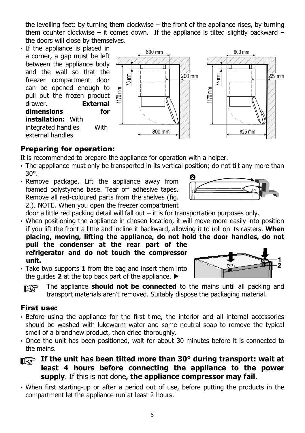the levelling feet: by turning them clockwise – the front of the appliance rises, by turning them counter clockwise – it comes down. If the appliance is tilted slightly backward – the doors will close by themselves.

• If the appliance is placed in 600 mm 600 mm a corner, a gap must be left between the appliance body and the wall so that the  $75$  mm  $200$  mm  $75$  mm  $229$  mm freezer compartment door can be opened enough to 1170 mm 旨 pull out the frozen product  $\approx$ drawer. **External dimensions for installation:** With integrated handles With 800 mm 825 mm external handles

### Preparing for operation:

It is recommended to prepare the appliance for operation with a helper.

- The apppliance must only be transported in its vertical position; do not tilt any more than 30°.
- Remove package. Lift the appliance away from foamed polystyrene base. Tear off adhesive tapes. Remove all red-coloured parts from the shelves (fig. 2.). NOTE. When you open the freezer compartment



door a little red packing detail will fall out – it is for transportation purposes only.

- When positioning the appliance in chosen location, it will move more easily into position if you lift the front a little and incline it backward, allowing it to roll on its casters. **When placing, moving, lifting the appliance, do not hold the door handles, do not pull the condenser at the rear part of the refrigerator and do not touch the compressor unit.**
- Take two supports **1** from the bag and insert them into the quides  $2$  at the top back part of the appliance.  $\blacktriangleright$ 
	- **FALL The appliance should not be connected** to the mains until all packing and transport materials aren't removed. Suitably dispose the packaging material.

### First use:

- Before using the appliance for the first time, the interior and all internal accessories should be washed with lukewarm water and some neutral soap to remove the typical smell of a brandnew product, then dried thoroughly.
- Once the unit has been positioned, wait for about 30 minutes before it is connected to the mains.
- **If** the unit has been tilted more than 30° during transport: wait at **least 4 hours before connecting the appliance to the power supply**. If this is not done**, the appliance compressor may fail**.
- When first starting-up or after a period out of use, before putting the products in the compartment let the appliance run at least 2 hours.

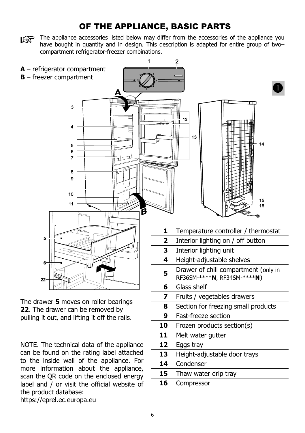### OF THE APPLIANCE, BASIC PARTS

The appliance accessories listed below may differ from the accessories of the appliance you have bought in quantity and in design. This description is adapted for entire group of two– compartment refrigerator-freezer combinations.



NOTE. The technical data of the appliance can be found on the rating label attached to the inside wall of the appliance. For more information about the appliance, scan the QR code on the enclosed energy label and / or visit the official website of the product database:

https://eprel.ec.europa.eu

11 Melt water gutter

**15** Thaw water drip tray

**13** Height-adjustable door trays

**12** Eggs tray

**14** Condenser

**16** Compressor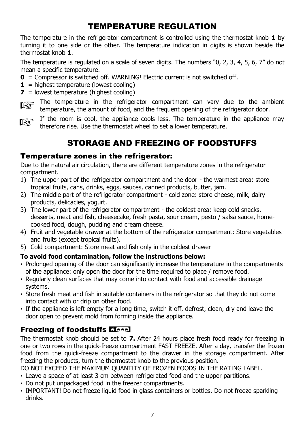## TEMPERATURE REGULATION

The temperature in the refrigerator compartment is controlled using the thermostat knob **1** by turning it to one side or the other. The temperature indication in digits is shown beside the thermostat knob **1**.

The temperature is regulated on a scale of seven digits. The numbers "0, 2, 3, 4, 5, 6, 7" do not mean a specific temperature.

- **0** = Compressor is switched off. WARNING! Electric current is not switched off.
- $1 =$  highest temperature (lowest cooling)
- **7** = lowest temperature (highest cooling)

The temperature in the refrigerator compartment can vary due to the ambient temperature, the amount of food, and the frequent opening of the refrigerator door.

If the room is cool, the appliance cools less. The temperature in the appliance may therefore rise. Use the thermostat wheel to set a lower temperature.

## STORAGE AND FREEZING OF FOODSTUFFS

#### Temperature zones in the refrigerator:

Due to the natural air circulation, there are different temperature zones in the refrigerator compartment.

- 1) The upper part of the refrigerator compartment and the door the warmest area: store tropical fruits, cans, drinks, eggs, sauces, canned products, butter, jam.
- 2) The middle part of the refrigerator compartment cold zone: store cheese, milk, dairy products, delicacies, yogurt.
- 3) The lower part of the refrigerator compartment the coldest area: keep cold snacks, desserts, meat and fish, cheesecake, fresh pasta, sour cream, pesto / salsa sauce, homecooked food, dough, pudding and cream cheese.
- 4) Fruit and vegetable drawer at the bottom of the refrigerator compartment: Store vegetables and fruits (except tropical fruits).
- 5) Cold compartment: Store meat and fish only in the coldest drawer

#### **To avoid food contamination, follow the instructions below:**

- Prolonged opening of the door can significantly increase the temperature in the compartments of the appliance: only open the door for the time required to place / remove food.
- Regularly clean surfaces that may come into contact with food and accessible drainage systems.
- Store fresh meat and fish in suitable containers in the refrigerator so that they do not come into contact with or drip on other food.
- If the appliance is left empty for a long time, switch it off, defrost, clean, dry and leave the door open to prevent mold from forming inside the appliance.

### Freezing of foodstuffs E1\*\*\*

The thermostat knob should be set to **7.** After 24 hours place fresh food ready for freezing in one or two rows in the quick-freeze compartment FAST FREEZE. After a day, transfer the frozen food from the quick-freeze compartment to the drawer in the storage compartment. After freezing the products, turn the thermostat knob to the previous position.

- DO NOT EXCEED THE MAXIMUM QUANTITY OF FROZEN FOODS IN THE RATING LABEL.
- Leave a space of at least 3 cm between refrigerated food and the upper partitions.
- Do not put unpackaged food in the freezer compartments.
- IMPORTANT! Do not freeze liquid food in glass containers or bottles. Do not freeze sparkling drinks.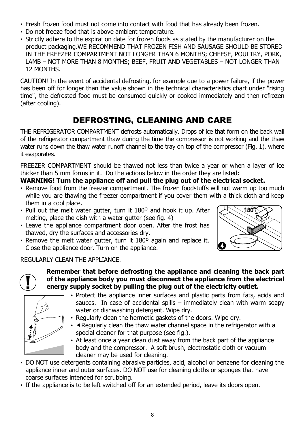- Fresh frozen food must not come into contact with food that has already been frozen.
- Do not freeze food that is above ambient temperature.
- Strictly adhere to the expiration date for frozen foods as stated by the manufacturer on the product packaging.WE RECOMMEND THAT FROZEN FISH AND SAUSAGE SHOULD BE STORED IN THE FREEZER COMPARTMENT NOT LONGER THAN 6 MONTHS; CHEESE, POULTRY, PORK, LAMB – NOT MORE THAN 8 MONTHS; BEEF, FRUIT AND VEGETABLES – NOT LONGER THAN 12 MONTHS.

CAUTION! In the event of accidental defrosting, for example due to a power failure, if the power has been off for longer than the value shown in the technical characteristics chart under "rising time", the defrosted food must be consumed quickly or cooked immediately and then refrozen (after cooling).

## DEFROSTING, CLEANING AND CARE

THE REFRIGERATOR COMPARTMENT defrosts automatically. Drops of ice that form on the back wall of the refrigerator compartment thaw during the time the compressor is not working and the thaw water runs down the thaw water runoff channel to the tray on top of the compressor (Fig. 1), where it evaporates.

FREEZER COMPARTMENT should be thawed not less than twice a year or when a layer of ice thicker than 5 mm forms in it. Do the actions below in the order they are listed:

#### **WARNING! Turn the appliance off and pull the plug out of the electrical socket.**

- Remove food from the freezer compartment. The frozen foodstuffs will not warm up too much while you are thawing the freezer compartment if you cover them with a thick cloth and keep them in a cool place.
- Pull out the melt water gutter, turn it  $180^\circ$  and hook it up. After melting, place the dish with a water gutter (see fig. 4)
- Leave the appliance compartment door open. After the frost has thawed, dry the surfaces and accessories dry.
- Remove the melt water gutter, turn it 180º again and replace it. Close the appliance door. Turn on the appliance.



#### REGULARLY CLEAN THE APPLIANCE.



#### **Remember that before defrosting the appliance and cleaning the back part of the appliance body you must disconnect the appliance from the electrical energy supply socket by pulling the plug out of the electricity outlet.**



- Protect the appliance inner surfaces and plastic parts from fats, acids and sauces. In case of accidental spills – immediately clean with warm soapy water or dishwashing detergent. Wipe dry.
- Regularly clean the hermetic gaskets of the doors. Wipe dry.
- **Kegularly clean the thaw water channel space in the refrigerator with a** special cleaner for that purpose (see fig.).
- At least once a year clean dust away from the back part of the appliance body and the compressor. A soft brush, electrostatic cloth or vacuum cleaner may be used for cleaning.
- DO NOT use detergents containing abrasive particles, acid, alcohol or benzene for cleaning the appliance inner and outer surfaces. DO NOT use for cleaning cloths or sponges that have coarse surfaces intended for scrubbing.
- If the appliance is to be left switched off for an extended period, leave its doors open.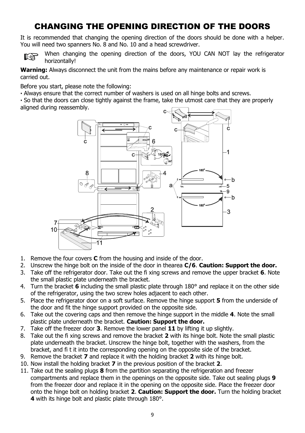## CHANGING THE OPENING DIRECTION OF THE DOORS

It is recommended that changing the opening direction of the doors should be done with a helper. You will need two spanners No. 8 and No. 10 and a head screwdriver.



When changing the opening direction of the doors, YOU CAN NOT lay the refrigerator horizontally!

**Warning:** Always disconnect the unit from the mains before any maintenance or repair work is carried out.

Before you start, please note the following:

**∙** Always ensure that the correct number of washers is used on all hinge bolts and screws.

**∙** So that the doors can close tightly against the frame, take the utmost care that they are properly aligned during reassembly.



- 1. Remove the four covers **C** from the housing and inside of the door.
- 2. Unscrew the hinge bolt on the inside of the door in thearea **C/6**. **Caution: Support the door.**
- 3. Take off the refrigerator door. Take out the fi xing screws and remove the upper bracket **6**. Note the small plastic plate underneath the bracket.
- 4. Turn the bracket **6** including the small plastic plate through 180° and replace it on the other side of the refrigerator, using the two screw holes adjacent to each other.
- 5. Place the refrigerator door on a soft surface. Remove the hinge support **5** from the underside of the door and fit the hinge support provided on the opposite side.
- 6. Take out the covering caps and then remove the hinge support in the middle **4**. Note the small plastic plate underneath the bracket. **Caution: Support the door.**
- 7. Take off the freezer door **3**. Remove the lower panel **11** by lifting it up slightly.
- 8. Take out the fi xing screws and remove the bracket **2** with its hinge bolt. Note the small plastic plate underneath the bracket. Unscrew the hinge bolt, together with the washers, from the bracket, and fi t it into the corresponding opening on the opposite side of the bracket.
- 9. Remove the bracket **7** and replace it with the holding bracket **2** with its hinge bolt.
- 10. Now install the holding bracket **7** in the previous position of the bracket **2**.
- 11. Take out the sealing plugs **8** from the partition separating the refrigeration and freezer compartments and replace them in the openings on the opposite side. Take out sealing plugs **9**  from the freezer door and replace it in the opening on the opposite side. Place the freezer door onto the hinge bolt on holding bracket **2**. **Caution: Support the door.** Turn the holding bracket **4** with its hinge bolt and plastic plate through 180°.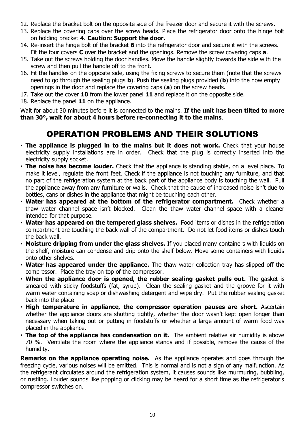- 12. Replace the bracket bolt on the opposite side of the freezer door and secure it with the screws.
- 13. Replace the covering caps over the screw heads. Place the refrigerator door onto the hinge bolt on holding bracket **4**. **Caution: Support the door.**
- 14. Re-insert the hinge bolt of the bracket **6** into the refrigerator door and secure it with the screws. Fit the four covers **C** over the bracket and the openings. Remove the screw covering caps **a**.
- 15. Take out the screws holding the door handles. Move the handle slightly towards the side with the screw and then pull the handle off to the front.
- 16. Fit the handles on the opposite side, using the fixing screws to secure them (note that the screws need to go through the sealing plugs **b**). Push the sealing plugs provided (**b**) into the now empty openings in the door and replace the covering caps (**a**) on the screw heads.
- 17. Take out the cover **10** from the lower panel **11** and replace it on the opposite side.
- 18. Replace the panel **11** on the appliance.

Wait for about 30 minutes before it is connected to the mains. **If the unit has been tilted to more than 30°, wait for about 4 hours before re-connecting it to the mains.**

### OPERATION PROBLEMS AND THEIR SOLUTIONS

- **The appliance is plugged in to the mains but it does not work.** Check that your house electricity supply installations are in order. Check that the plug is correctly inserted into the electricity supply socket.
- **The noise has become louder.** Check that the appliance is standing stable, on a level place. To make it level, regulate the front feet. Check if the appliance is not touching any furniture, and that no part of the refrigeration system at the back part of the appliance body is touching the wall. Pull the appliance away from any furniture or walls. Check that the cause of increased noise isn't due to bottles, cans or dishes in the appliance that might be touching each other.
- **Water has appeared at the bottom of the refrigerator compartment.** Check whether a thaw water channel space isn't blocked. Clean the thaw water channel space with a cleaner intended for that purpose.
- **Water has appeared on the tempered glass shelves.** Food items or dishes in the refrigeration compartment are touching the back wall of the compartment. Do not let food items or dishes touch the back wall.
- **Moisture dripping from under the glass shelves.** If you placed many containers with liquids on the shelf, moisture can condense and drip onto the shelf below. Move some containers with liquids onto other shelves.
- **Water has appeared under the appliance.** The thaw water collection tray has slipped off the compressor. Place the tray on top of the compressor.
- **When the appliance door is opened, the rubber sealing gasket pulls out.** The gasket is smeared with sticky foodstuffs (fat, syrup). Clean the sealing gasket and the groove for it with warm water containing soap or dishwashing detergent and wipe dry. Put the rubber sealing gasket back into the place
- **High temperature in appliance, the compressor operation pauses are short.** Ascertain whether the appliance doors are shutting tightly, whether the door wasn't kept open longer than necessary when taking out or putting in foodstuffs or whether a large amount of warm food was placed in the appliance.
- **The top of the appliance has condensation on it.** The ambient relative air humidity is above 70 %. Ventilate the room where the appliance stands and if possible, remove the cause of the humidity.

**Remarks on the appliance operating noise.** As the appliance operates and goes through the freezing cycle, various noises will be emitted. This is normal and is not a sign of any malfunction. As the refrigerant circulates around the refrigeration system, it causes sounds like murmuring, bubbling, or rustling. Louder sounds like popping or clicking may be heard for a short time as the refrigerator's compressor switches on.